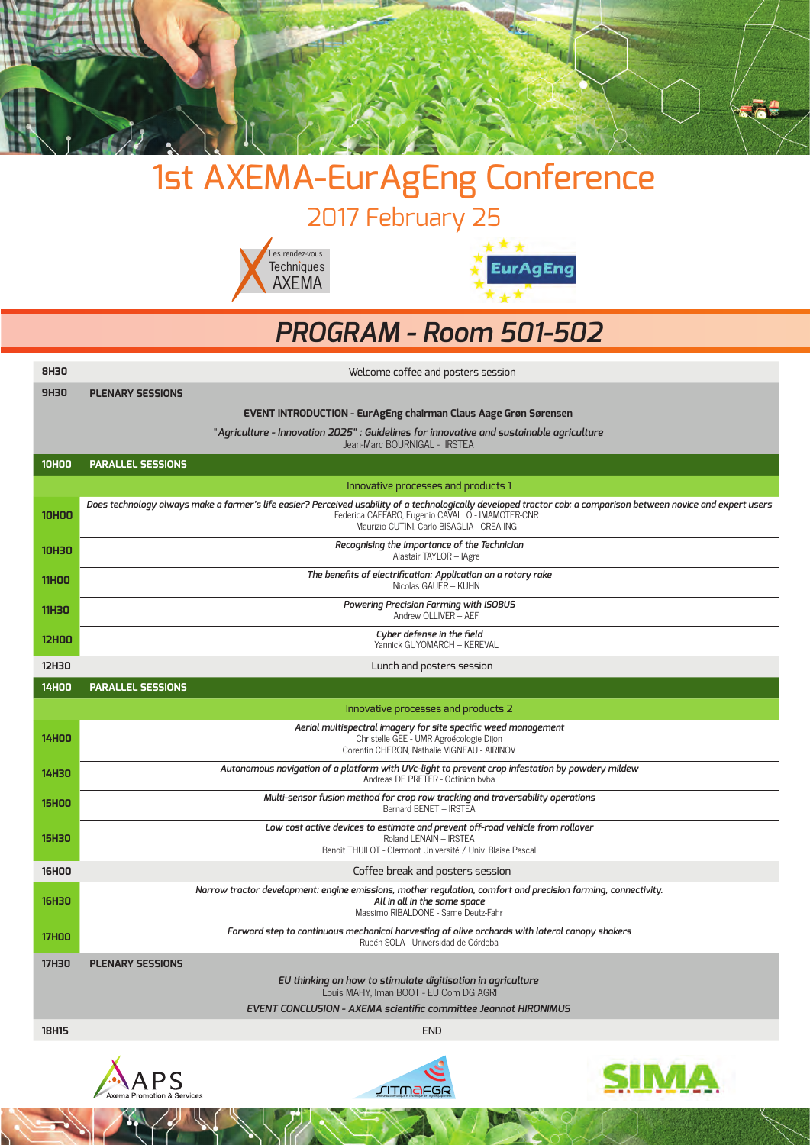

# 1st AXEMA-EurAgEng Conference

2017 February 25





#### *PROGRAM - Room 501-502*

| <b>8H30</b>  | Welcome coffee and posters session                                                                                                                                                                                                                                 |  |  |  |  |
|--------------|--------------------------------------------------------------------------------------------------------------------------------------------------------------------------------------------------------------------------------------------------------------------|--|--|--|--|
| <b>9H30</b>  | <b>PLENARY SESSIONS</b>                                                                                                                                                                                                                                            |  |  |  |  |
|              | <b>EVENT INTRODUCTION - Eur AgEng chairman Claus Aage Grøn Sørensen</b>                                                                                                                                                                                            |  |  |  |  |
|              | "Agriculture - Innovation 2025" : Guidelines for innovative and sustainable agriculture<br>Jean-Marc BOURNIGAL - IRSTEA                                                                                                                                            |  |  |  |  |
| <b>10HOO</b> | <b>PARALLEL SESSIONS</b>                                                                                                                                                                                                                                           |  |  |  |  |
|              | Innovative processes and products 1                                                                                                                                                                                                                                |  |  |  |  |
| <b>10HOO</b> | Does technology always make a farmer's life easier? Perceived usability of a technologically developed tractor cab: a comparison between novice and expert users<br>Federica CAFFARO, Eugenio CAVALLO - IMAMOTER-CNR<br>Maurizio CUTINI, Carlo BISAGLIA - CREA-ING |  |  |  |  |
| <b>10H30</b> | Recognising the Importance of the Technician<br>Alastair TAYLOR - IAgre                                                                                                                                                                                            |  |  |  |  |
| <b>11HOO</b> | The benefits of electrification: Application on a rotary rake<br>Nicolas GAUER - KUHN                                                                                                                                                                              |  |  |  |  |
| <b>11H30</b> | Powering Precision Farming with ISOBUS<br>Andrew OLLIVER - AEF                                                                                                                                                                                                     |  |  |  |  |
| <b>12HOO</b> | Cyber defense in the field<br>Yannick GUYOMARCH - KEREVAL                                                                                                                                                                                                          |  |  |  |  |
| <b>12H30</b> | Lunch and posters session                                                                                                                                                                                                                                          |  |  |  |  |
| <b>14H00</b> | <b>PARALLEL SESSIONS</b>                                                                                                                                                                                                                                           |  |  |  |  |
|              | Innovative processes and products 2                                                                                                                                                                                                                                |  |  |  |  |
| <b>14HOO</b> | Aerial multispectral imagery for site specific weed management<br>Christelle GEE - UMR Agroécologie Dijon<br>Corentin CHERON, Nathalie VIGNEAU - AIRINOV                                                                                                           |  |  |  |  |
| <b>14H30</b> | Autonomous navigation of a platform with UVc-light to prevent crop infestation by powdery mildew<br>Andreas DE PRETER - Octinion byba                                                                                                                              |  |  |  |  |
| <b>15HOO</b> | Multi-sensor fusion method for crop row tracking and traversability operations<br>Bernard BENET - IRSTEA                                                                                                                                                           |  |  |  |  |
| <b>15H30</b> | Low cost active devices to estimate and prevent off-road vehicle from rollover<br>Roland LENAIN - IRSTEA<br>Benoit THUILOT - Clermont Université / Univ. Blaise Pascal                                                                                             |  |  |  |  |
| <b>16HOO</b> | Coffee break and posters session                                                                                                                                                                                                                                   |  |  |  |  |
| <b>16H30</b> | Narrow tractor development: engine emissions, mother regulation, comfort and precision farming, connectivity.<br>All in all in the same space<br>Massimo RIBALDONE - Same Deutz-Fahr                                                                               |  |  |  |  |
| <b>17HOO</b> | Forward step to continuous mechanical harvesting of olive orchards with lateral canopy shakers<br>Rubén SOLA - Universidad de Córdoba                                                                                                                              |  |  |  |  |
| <b>17H30</b> | <b>PLENARY SESSIONS</b>                                                                                                                                                                                                                                            |  |  |  |  |
|              | EU thinking on how to stimulate digitisation in agriculture<br>Louis MAHY, Iman BOOT - EU Com DG AGRI                                                                                                                                                              |  |  |  |  |
|              | EVENT CONCLUSION - AXEMA scientific committee Jeannot HIRONIMUS                                                                                                                                                                                                    |  |  |  |  |
| <b>18H15</b> | <b>END</b>                                                                                                                                                                                                                                                         |  |  |  |  |
|              |                                                                                                                                                                                                                                                                    |  |  |  |  |





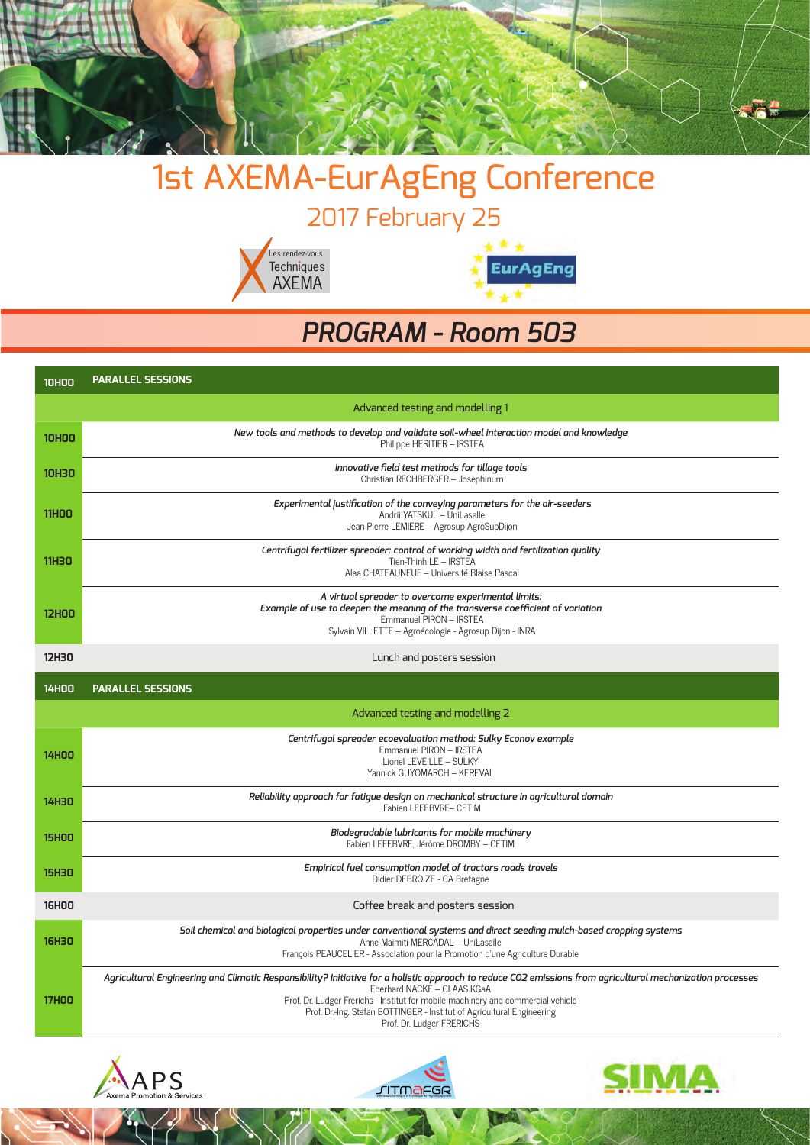

## 1st AXEMA-EurAgEng Conference

2017 February 25





### *PROGRAM - Room 503*

| <b>10HOO</b> | <b>PARALLEL SESSIONS</b>                                                                                                                                                                                                                                                                                                                                                             |  |  |
|--------------|--------------------------------------------------------------------------------------------------------------------------------------------------------------------------------------------------------------------------------------------------------------------------------------------------------------------------------------------------------------------------------------|--|--|
|              | Advanced testing and modelling 1                                                                                                                                                                                                                                                                                                                                                     |  |  |
| <b>10HOO</b> | New tools and methods to develop and validate soil-wheel interaction model and knowledge<br>Philippe HERITIER - IRSTEA                                                                                                                                                                                                                                                               |  |  |
| <b>10H30</b> | Innovative field test methods for tillage tools<br>Christian RECHBERGER - Josephinum                                                                                                                                                                                                                                                                                                 |  |  |
| <b>11HOO</b> | Experimental justification of the conveying parameters for the air-seeders<br>Andrii YATSKUL - UniLasalle<br>Jean-Pierre LEMIERE - Agrosup AgroSupDijon                                                                                                                                                                                                                              |  |  |
| <b>11H30</b> | Centrifugal fertilizer spreader: control of working width and fertilization quality<br>Tien-Thinh LE - IRSTEA<br>Alaa CHATEAUNEUF - Université Blaise Pascal                                                                                                                                                                                                                         |  |  |
| <b>12HOO</b> | A virtual spreader to overcome experimental limits:<br>Example of use to deepen the meaning of the transverse coefficient of variation<br>Emmanuel PIRON - IRSTEA<br>Sylvain VILLETTE - Agroécologie - Agrosup Dijon - INRA                                                                                                                                                          |  |  |
| <b>12H30</b> | Lunch and posters session                                                                                                                                                                                                                                                                                                                                                            |  |  |
| <b>14HOO</b> | <b>PARALLEL SESSIONS</b>                                                                                                                                                                                                                                                                                                                                                             |  |  |
|              | Advanced testing and modelling 2                                                                                                                                                                                                                                                                                                                                                     |  |  |
| <b>14HOO</b> | Centrifugal spreader ecoevaluation method: Sulky Econov example<br>Emmanuel PIRON - IRSTEA<br>Lionel LEVEILLE - SULKY<br>Yannick GUYOMARCH - KEREVAL                                                                                                                                                                                                                                 |  |  |
| 14H30        | Reliability approach for fatique design on mechanical structure in agricultural domain<br>Fabien LEFEBVRE- CETIM                                                                                                                                                                                                                                                                     |  |  |
| <b>15HOO</b> | Biodegradable lubricants for mobile machinery<br>Fabien LEFEBVRE, Jérôme DROMBY - CETIM                                                                                                                                                                                                                                                                                              |  |  |
| <b>15H30</b> | Empirical fuel consumption model of tractors roads travels<br>Didier DEBROIZE - CA Bretagne                                                                                                                                                                                                                                                                                          |  |  |
| <b>16HOO</b> | Coffee break and posters session                                                                                                                                                                                                                                                                                                                                                     |  |  |
| <b>16H30</b> | Soil chemical and biological properties under conventional systems and direct seeding mulch-based cropping systems<br>Anne-Maïmiti MERCADAL - UniLasalle<br>François PEAUCELIER - Association pour la Promotion d'une Agriculture Durable                                                                                                                                            |  |  |
| <b>17HOO</b> | Agricultural Engineering and Climatic Responsibility? Initiative for a holistic approach to reduce CO2 emissions from agricultural mechanization processes<br>Eberhard NACKE - CLAAS KGaA<br>Prof. Dr. Ludger Frerichs - Institut for mobile machinery and commercial vehicle<br>Prof. Dr.-Ing. Stefan BOTTINGER - Institut of Agricultural Engineering<br>Prof. Dr. Ludger FRERICHS |  |  |





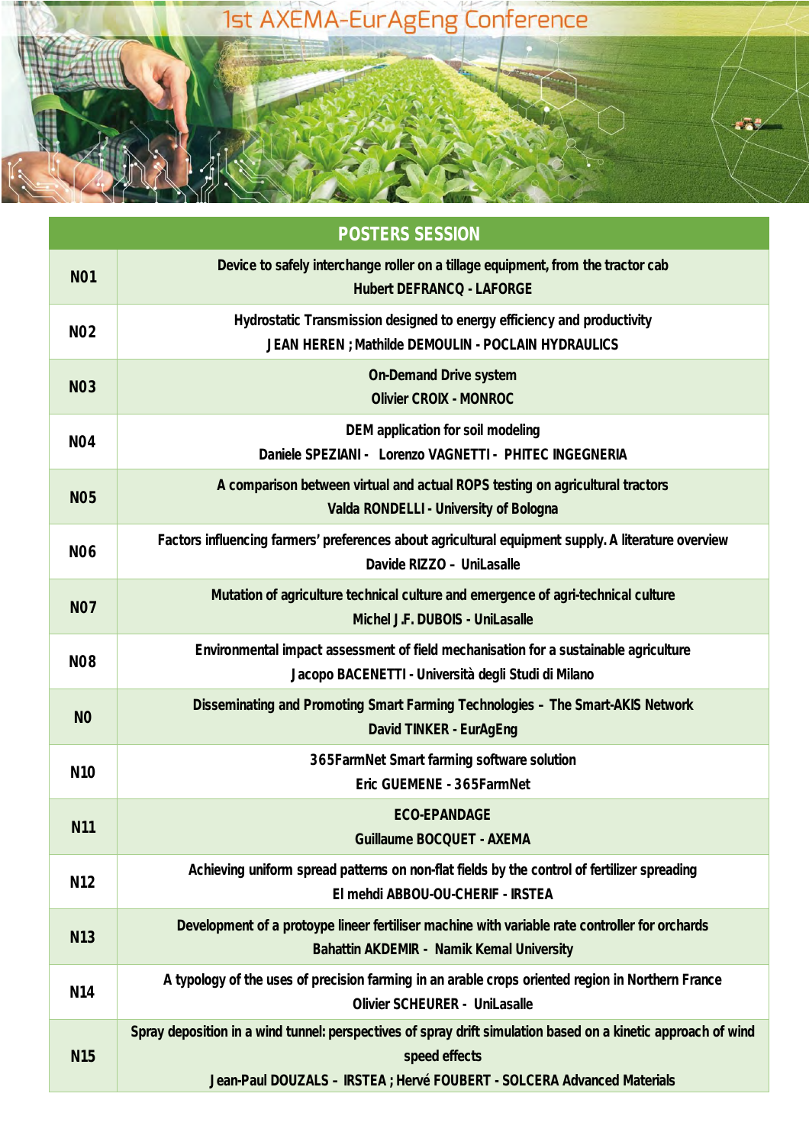

| <b>POSTERS SESSION</b> |                                                                                                                                                                                                           |  |  |  |  |
|------------------------|-----------------------------------------------------------------------------------------------------------------------------------------------------------------------------------------------------------|--|--|--|--|
| <b>NO1</b>             | Device to safely interchange roller on a tillage equipment, from the tractor cab<br><b>Hubert DEFRANCQ - LAFORGE</b>                                                                                      |  |  |  |  |
| <b>NO2</b>             | Hydrostatic Transmission designed to energy efficiency and productivity<br>JEAN HEREN ; Mathilde DEMOULIN - POCLAIN HYDRAULICS                                                                            |  |  |  |  |
| <b>NO3</b>             | <b>On-Demand Drive system</b><br><b>Olivier CROIX - MONROC</b>                                                                                                                                            |  |  |  |  |
| <b>NO4</b>             | <b>DEM</b> application for soil modeling<br>Daniele SPEZIANI - Lorenzo VAGNETTI - PHITEC INGEGNERIA                                                                                                       |  |  |  |  |
| <b>NO5</b>             | A comparison between virtual and actual ROPS testing on agricultural tractors<br>Valda RONDELLI - University of Bologna                                                                                   |  |  |  |  |
| <b>NO6</b>             | Factors influencing farmers' preferences about agricultural equipment supply. A literature overview<br>Davide RIZZO - UniLasalle                                                                          |  |  |  |  |
| <b>NO7</b>             | Mutation of agriculture technical culture and emergence of agri-technical culture<br>Michel J.F. DUBOIS - UniLasalle                                                                                      |  |  |  |  |
| <b>NO8</b>             | Environmental impact assessment of field mechanisation for a sustainable agriculture<br>Jacopo BACENETTI - Università degli Studi di Milano                                                               |  |  |  |  |
| N <sub>O</sub>         | Disseminating and Promoting Smart Farming Technologies - The Smart-AKIS Network<br>David TINKER - EurAgEng                                                                                                |  |  |  |  |
| <b>N10</b>             | 365FarmNet Smart farming software solution<br>Eric GUEMENE - 365FarmNet                                                                                                                                   |  |  |  |  |
| <b>N11</b>             | <b>ECO-EPANDAGE</b><br><b>Guillaume BOCQUET - AXEMA</b>                                                                                                                                                   |  |  |  |  |
| N12                    | Achieving uniform spread patterns on non-flat fields by the control of fertilizer spreading<br>El mehdi ABBOU-OU-CHERIF - IRSTEA                                                                          |  |  |  |  |
| <b>N13</b>             | Development of a protoype lineer fertiliser machine with variable rate controller for orchards<br><b>Bahattin AKDEMIR - Namik Kemal University</b>                                                        |  |  |  |  |
| N14                    | A typology of the uses of precision farming in an arable crops oriented region in Northern France<br><b>Olivier SCHEURER - UniLasalle</b>                                                                 |  |  |  |  |
| <b>N15</b>             | Spray deposition in a wind tunnel: perspectives of spray drift simulation based on a kinetic approach of wind<br>speed effects<br>Jean-Paul DOUZALS - IRSTEA ; Hervé FOUBERT - SOLCERA Advanced Materials |  |  |  |  |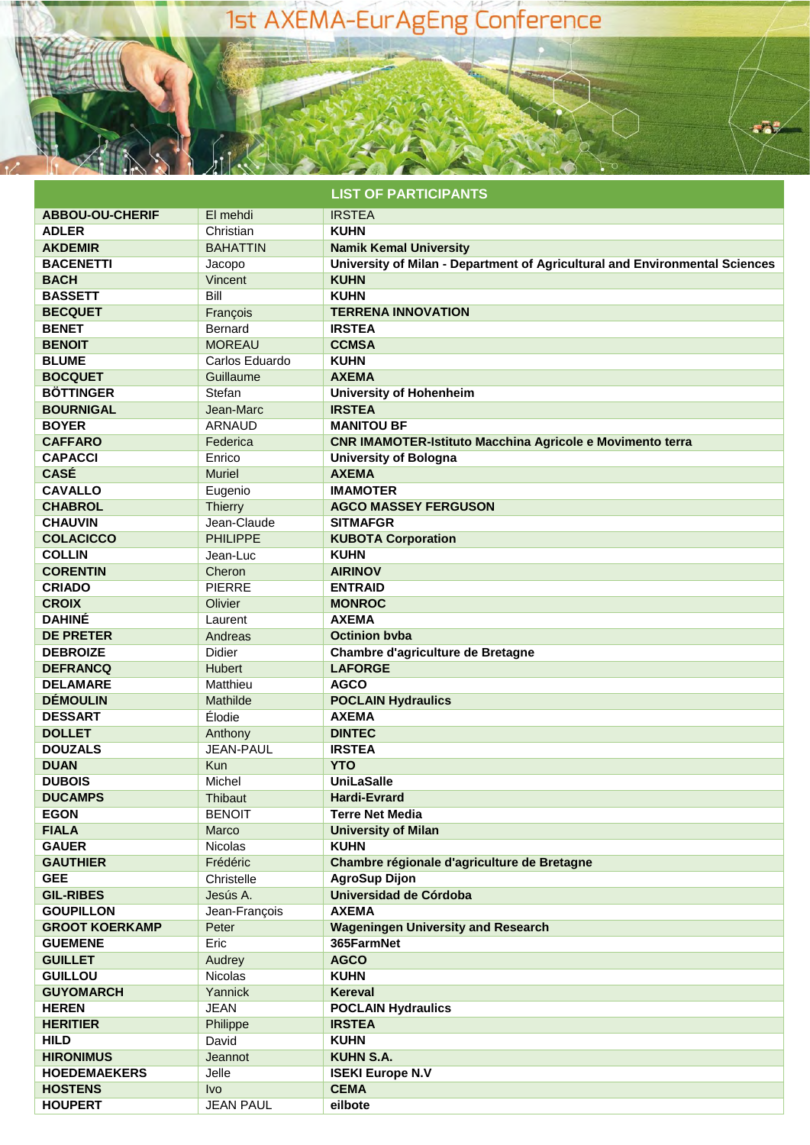### 1st AXEMA-EurAgEng Conference

#### **LIST OF PARTICIPANTS**

aā.

| <b>ABBOU-OU-CHERIF</b> | El mehdi         | <b>IRSTEA</b>                                                               |
|------------------------|------------------|-----------------------------------------------------------------------------|
| <b>ADLER</b>           | Christian        | <b>KUHN</b>                                                                 |
| <b>AKDEMIR</b>         | <b>BAHATTIN</b>  | <b>Namik Kemal University</b>                                               |
| <b>BACENETTI</b>       | Jacopo           | University of Milan - Department of Agricultural and Environmental Sciences |
| <b>BACH</b>            | Vincent          | <b>KUHN</b>                                                                 |
| <b>BASSETT</b>         | Bill             | <b>KUHN</b>                                                                 |
| <b>BECQUET</b>         | François         | <b>TERRENA INNOVATION</b>                                                   |
| <b>BENET</b>           | <b>Bernard</b>   | <b>IRSTEA</b>                                                               |
| <b>BENOIT</b>          | <b>MOREAU</b>    | <b>CCMSA</b>                                                                |
| <b>BLUME</b>           | Carlos Eduardo   | <b>KUHN</b>                                                                 |
| <b>BOCQUET</b>         | Guillaume        | <b>AXEMA</b>                                                                |
| <b>BÖTTINGER</b>       | Stefan           | <b>University of Hohenheim</b>                                              |
| <b>BOURNIGAL</b>       | Jean-Marc        | <b>IRSTEA</b>                                                               |
| <b>BOYER</b>           | <b>ARNAUD</b>    | <b>MANITOU BF</b>                                                           |
| <b>CAFFARO</b>         | Federica         | <b>CNR IMAMOTER-Istituto Macchina Agricole e Movimento terra</b>            |
| <b>CAPACCI</b>         | Enrico           | <b>University of Bologna</b>                                                |
| <b>CASÉ</b>            | <b>Muriel</b>    | <b>AXEMA</b>                                                                |
| <b>CAVALLO</b>         | Eugenio          | <b>IMAMOTER</b>                                                             |
| <b>CHABROL</b>         | Thierry          | <b>AGCO MASSEY FERGUSON</b>                                                 |
| <b>CHAUVIN</b>         | Jean-Claude      | <b>SITMAFGR</b>                                                             |
| <b>COLACICCO</b>       | <b>PHILIPPE</b>  | <b>KUBOTA Corporation</b>                                                   |
| <b>COLLIN</b>          | Jean-Luc         | <b>KUHN</b>                                                                 |
| <b>CORENTIN</b>        | Cheron           | <b>AIRINOV</b>                                                              |
| <b>CRIADO</b>          | <b>PIERRE</b>    | <b>ENTRAID</b>                                                              |
|                        |                  |                                                                             |
| <b>CROIX</b>           | Olivier          | <b>MONROC</b>                                                               |
| <b>DAHINE</b>          | Laurent          | <b>AXEMA</b>                                                                |
| <b>DE PRETER</b>       | Andreas          | <b>Octinion byba</b>                                                        |
| <b>DEBROIZE</b>        | Didier           | Chambre d'agriculture de Bretagne                                           |
| <b>DEFRANCQ</b>        | <b>Hubert</b>    | <b>LAFORGE</b>                                                              |
| <b>DELAMARE</b>        | Matthieu         | <b>AGCO</b>                                                                 |
| <b>DÉMOULIN</b>        | Mathilde         | <b>POCLAIN Hydraulics</b>                                                   |
| <b>DESSART</b>         | Élodie           | <b>AXEMA</b>                                                                |
| <b>DOLLET</b>          | Anthony          | <b>DINTEC</b>                                                               |
| <b>DOUZALS</b>         | <b>JEAN-PAUL</b> | <b>IRSTEA</b>                                                               |
| <b>DUAN</b>            | Kun              | <b>YTO</b>                                                                  |
| <b>DUBOIS</b>          | Michel           | <b>UniLaSalle</b>                                                           |
| <b>DUCAMPS</b>         | Thibaut          | <b>Hardi-Evrard</b>                                                         |
| <b>EGON</b>            | <b>BENOIT</b>    | Terre Net Media                                                             |
| <b>FIALA</b>           | Marco            | <b>University of Milan</b>                                                  |
| <b>GAUER</b>           | Nicolas          | <b>KUHN</b>                                                                 |
| <b>GAUTHIER</b>        | Frédéric         | Chambre régionale d'agriculture de Bretagne                                 |
| <b>GEE</b>             | Christelle       | <b>AgroSup Dijon</b>                                                        |
| <b>GIL-RIBES</b>       | Jesús A.         | Universidad de Córdoba                                                      |
| <b>GOUPILLON</b>       | Jean-François    | <b>AXEMA</b>                                                                |
| <b>GROOT KOERKAMP</b>  | Peter            | <b>Wageningen University and Research</b>                                   |
| <b>GUEMENE</b>         | Eric             | 365FarmNet                                                                  |
| <b>GUILLET</b>         | Audrey           | <b>AGCO</b>                                                                 |
| <b>GUILLOU</b>         | <b>Nicolas</b>   | <b>KUHN</b>                                                                 |
| <b>GUYOMARCH</b>       | Yannick          | Kereval                                                                     |
| <b>HEREN</b>           | <b>JEAN</b>      | <b>POCLAIN Hydraulics</b>                                                   |
| <b>HERITIER</b>        | Philippe         | <b>IRSTEA</b>                                                               |
| <b>HILD</b>            | David            | <b>KUHN</b>                                                                 |
| <b>HIRONIMUS</b>       | Jeannot          | <b>KUHN S.A.</b>                                                            |
| <b>HOEDEMAEKERS</b>    | Jelle            | <b>ISEKI Europe N.V</b>                                                     |
| <b>HOSTENS</b>         | <b>Ivo</b>       | <b>CEMA</b>                                                                 |
|                        |                  |                                                                             |
| <b>HOUPERT</b>         | <b>JEAN PAUL</b> | eilbote                                                                     |